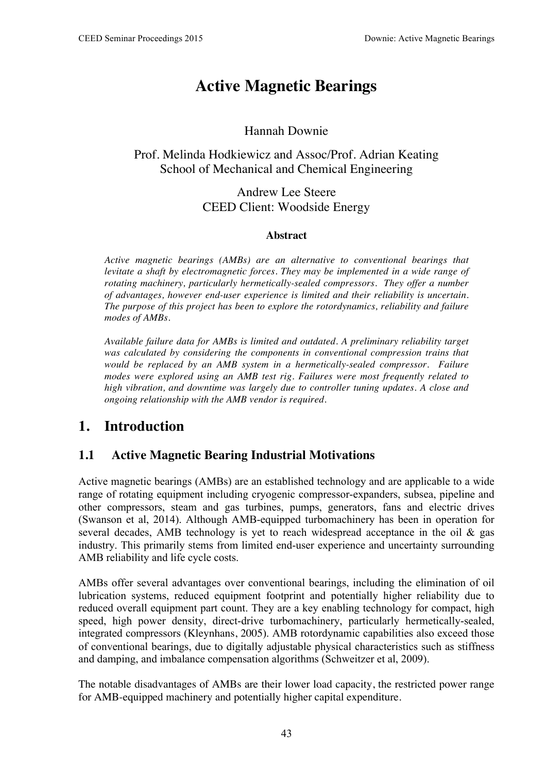# **Active Magnetic Bearings**

### Hannah Downie

### Prof. Melinda Hodkiewicz and Assoc/Prof. Adrian Keating School of Mechanical and Chemical Engineering

### Andrew Lee Steere CEED Client: Woodside Energy

#### **Abstract**

*Active magnetic bearings (AMBs) are an alternative to conventional bearings that levitate a shaft by electromagnetic forces. They may be implemented in a wide range of rotating machinery, particularly hermetically-sealed compressors. They offer a number of advantages, however end-user experience is limited and their reliability is uncertain. The purpose of this project has been to explore the rotordynamics, reliability and failure modes of AMBs.*

*Available failure data for AMBs is limited and outdated. A preliminary reliability target was calculated by considering the components in conventional compression trains that would be replaced by an AMB system in a hermetically-sealed compressor. Failure modes were explored using an AMB test rig. Failures were most frequently related to high vibration, and downtime was largely due to controller tuning updates. A close and ongoing relationship with the AMB vendor is required.*

## **1. Introduction**

### **1.1 Active Magnetic Bearing Industrial Motivations**

Active magnetic bearings (AMBs) are an established technology and are applicable to a wide range of rotating equipment including cryogenic compressor-expanders, subsea, pipeline and other compressors, steam and gas turbines, pumps, generators, fans and electric drives (Swanson et al, 2014). Although AMB-equipped turbomachinery has been in operation for several decades, AMB technology is yet to reach widespread acceptance in the oil  $\&$  gas industry. This primarily stems from limited end-user experience and uncertainty surrounding AMB reliability and life cycle costs.

AMBs offer several advantages over conventional bearings, including the elimination of oil lubrication systems, reduced equipment footprint and potentially higher reliability due to reduced overall equipment part count. They are a key enabling technology for compact, high speed, high power density, direct-drive turbomachinery, particularly hermetically-sealed, integrated compressors (Kleynhans, 2005). AMB rotordynamic capabilities also exceed those of conventional bearings, due to digitally adjustable physical characteristics such as stiffness and damping, and imbalance compensation algorithms (Schweitzer et al, 2009).

The notable disadvantages of AMBs are their lower load capacity, the restricted power range for AMB-equipped machinery and potentially higher capital expenditure.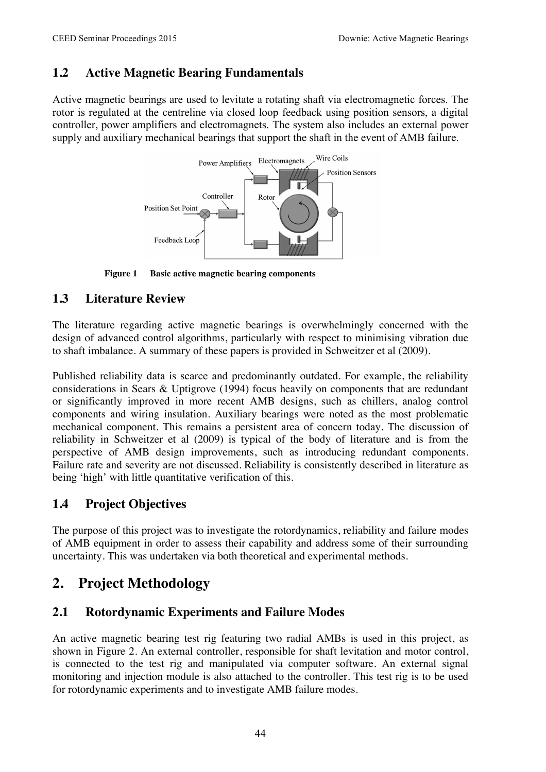### **1.2 Active Magnetic Bearing Fundamentals**

Active magnetic bearings are used to levitate a rotating shaft via electromagnetic forces. The rotor is regulated at the centreline via closed loop feedback using position sensors, a digital controller, power amplifiers and electromagnets. The system also includes an external power supply and auxiliary mechanical bearings that support the shaft in the event of AMB failure.



**Figure 1 Basic active magnetic bearing components**

### **1.3 Literature Review**

The literature regarding active magnetic bearings is overwhelmingly concerned with the design of advanced control algorithms, particularly with respect to minimising vibration due to shaft imbalance. A summary of these papers is provided in Schweitzer et al (2009).

Published reliability data is scarce and predominantly outdated. For example, the reliability considerations in Sears & Uptigrove (1994) focus heavily on components that are redundant or significantly improved in more recent AMB designs, such as chillers, analog control components and wiring insulation. Auxiliary bearings were noted as the most problematic mechanical component. This remains a persistent area of concern today. The discussion of reliability in Schweitzer et al (2009) is typical of the body of literature and is from the perspective of AMB design improvements, such as introducing redundant components. Failure rate and severity are not discussed. Reliability is consistently described in literature as being 'high' with little quantitative verification of this.

### **1.4 Project Objectives**

The purpose of this project was to investigate the rotordynamics, reliability and failure modes of AMB equipment in order to assess their capability and address some of their surrounding uncertainty. This was undertaken via both theoretical and experimental methods.

# **2. Project Methodology**

### **2.1 Rotordynamic Experiments and Failure Modes**

An active magnetic bearing test rig featuring two radial AMBs is used in this project, as shown in Figure 2. An external controller, responsible for shaft levitation and motor control, is connected to the test rig and manipulated via computer software. An external signal monitoring and injection module is also attached to the controller. This test rig is to be used for rotordynamic experiments and to investigate AMB failure modes.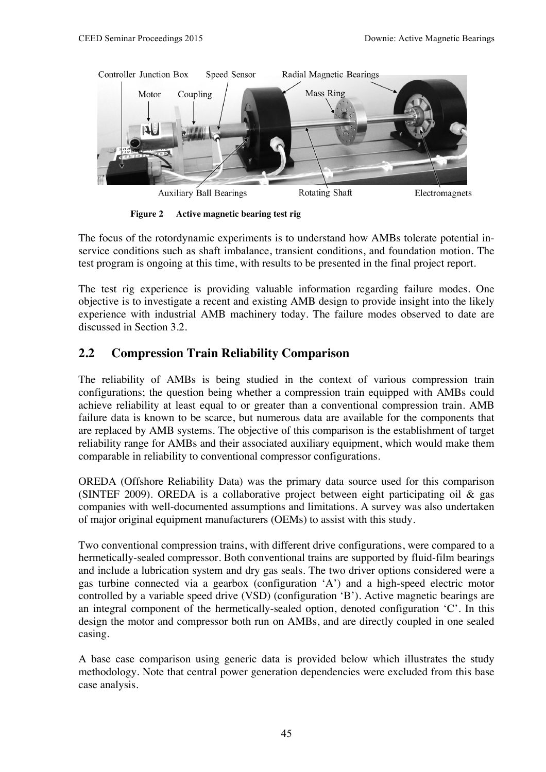

**Figure 2 Active magnetic bearing test rig**

The focus of the rotordynamic experiments is to understand how AMBs tolerate potential inservice conditions such as shaft imbalance, transient conditions, and foundation motion. The test program is ongoing at this time, with results to be presented in the final project report.

The test rig experience is providing valuable information regarding failure modes. One objective is to investigate a recent and existing AMB design to provide insight into the likely experience with industrial AMB machinery today. The failure modes observed to date are discussed in Section 3.2.

### **2.2 Compression Train Reliability Comparison**

The reliability of AMBs is being studied in the context of various compression train configurations; the question being whether a compression train equipped with AMBs could achieve reliability at least equal to or greater than a conventional compression train. AMB failure data is known to be scarce, but numerous data are available for the components that are replaced by AMB systems. The objective of this comparison is the establishment of target reliability range for AMBs and their associated auxiliary equipment, which would make them comparable in reliability to conventional compressor configurations.

OREDA (Offshore Reliability Data) was the primary data source used for this comparison (SINTEF 2009). OREDA is a collaborative project between eight participating oil & gas companies with well-documented assumptions and limitations. A survey was also undertaken of major original equipment manufacturers (OEMs) to assist with this study.

Two conventional compression trains, with different drive configurations, were compared to a hermetically-sealed compressor. Both conventional trains are supported by fluid-film bearings and include a lubrication system and dry gas seals. The two driver options considered were a gas turbine connected via a gearbox (configuration 'A') and a high-speed electric motor controlled by a variable speed drive (VSD) (configuration 'B'). Active magnetic bearings are an integral component of the hermetically-sealed option, denoted configuration 'C'. In this design the motor and compressor both run on AMBs, and are directly coupled in one sealed casing.

A base case comparison using generic data is provided below which illustrates the study methodology. Note that central power generation dependencies were excluded from this base case analysis.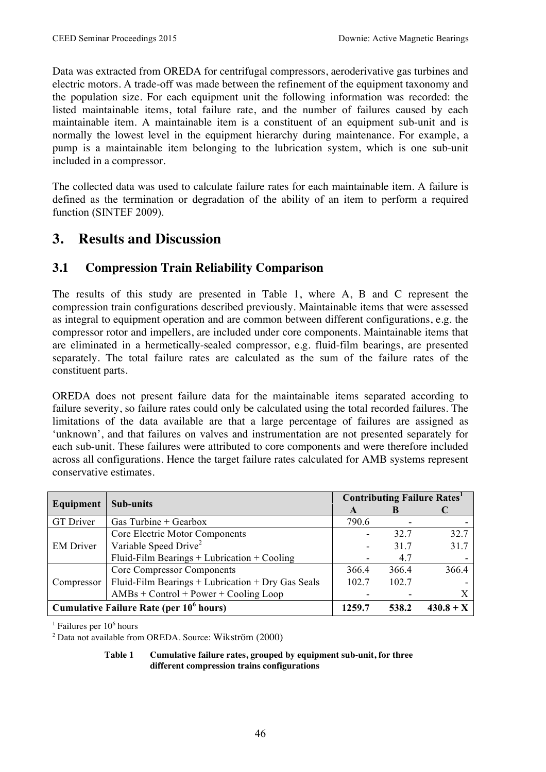Data was extracted from OREDA for centrifugal compressors, aeroderivative gas turbines and electric motors. A trade-off was made between the refinement of the equipment taxonomy and the population size. For each equipment unit the following information was recorded: the listed maintainable items, total failure rate, and the number of failures caused by each maintainable item. A maintainable item is a constituent of an equipment sub-unit and is normally the lowest level in the equipment hierarchy during maintenance. For example, a pump is a maintainable item belonging to the lubrication system, which is one sub-unit included in a compressor.

The collected data was used to calculate failure rates for each maintainable item. A failure is defined as the termination or degradation of the ability of an item to perform a required function (SINTEF 2009).

# **3. Results and Discussion**

### **3.1 Compression Train Reliability Comparison**

The results of this study are presented in Table 1, where A, B and C represent the compression train configurations described previously. Maintainable items that were assessed as integral to equipment operation and are common between different configurations, e.g. the compressor rotor and impellers, are included under core components. Maintainable items that are eliminated in a hermetically-sealed compressor, e.g. fluid-film bearings, are presented separately. The total failure rates are calculated as the sum of the failure rates of the constituent parts.

OREDA does not present failure data for the maintainable items separated according to failure severity, so failure rates could only be calculated using the total recorded failures. The limitations of the data available are that a large percentage of failures are assigned as 'unknown', and that failures on valves and instrumentation are not presented separately for each sub-unit. These failures were attributed to core components and were therefore included across all configurations. Hence the target failure rates calculated for AMB systems represent conservative estimates.

| Equipment                                                 | <b>Sub-units</b>                                  | <b>Contributing Failure Rates</b> <sup>1</sup> |       |             |
|-----------------------------------------------------------|---------------------------------------------------|------------------------------------------------|-------|-------------|
|                                                           |                                                   | A                                              | B     |             |
| <b>GT</b> Driver                                          | Gas Turbine $+$ Gearbox                           | 790.6                                          |       |             |
| <b>EM Driver</b>                                          | Core Electric Motor Components                    |                                                | 32.7  | 32.7        |
|                                                           | Variable Speed Drive <sup>2</sup>                 |                                                | 317   | 31.7        |
|                                                           | Fluid-Film Bearings $+$ Lubrication $+$ Cooling   |                                                | 4.7   |             |
| Compressor                                                | <b>Core Compressor Components</b>                 | 366.4                                          | 366.4 | 366.4       |
|                                                           | Fluid-Film Bearings + Lubrication + Dry Gas Seals | 102.7                                          | 102.7 |             |
|                                                           | $AMBs + Control + Power + Cooling Loop$           |                                                |       |             |
| <b>Cumulative Failure Rate (per 10<sup>6</sup> hours)</b> |                                                   |                                                | 538.2 | $430.8 + X$ |

 $<sup>1</sup>$  Failures per 10 $<sup>6</sup>$  hours</sup></sup>

 $2$  Data not available from OREDA. Source: Wikström (2000)

**Table 1 Cumulative failure rates, grouped by equipment sub-unit, for three different compression trains configurations**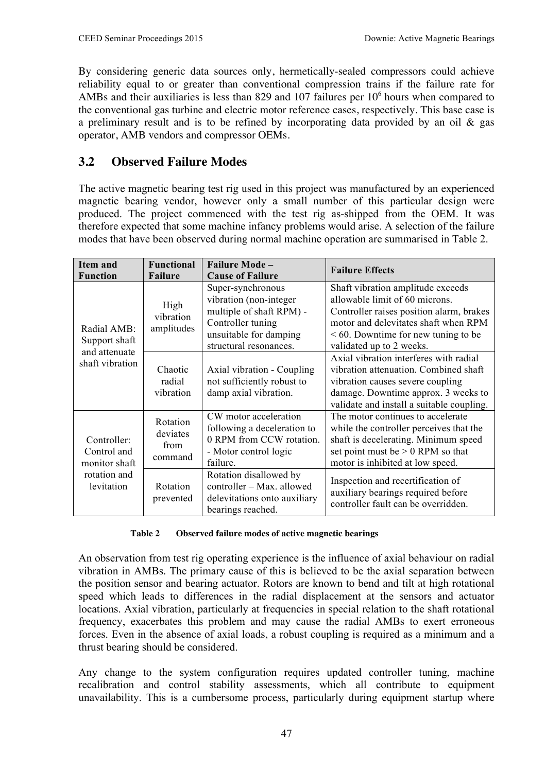By considering generic data sources only, hermetically-sealed compressors could achieve reliability equal to or greater than conventional compression trains if the failure rate for AMBs and their auxiliaries is less than 829 and 107 failures per  $10<sup>6</sup>$  hours when compared to the conventional gas turbine and electric motor reference cases, respectively. This base case is a preliminary result and is to be refined by incorporating data provided by an oil & gas operator, AMB vendors and compressor OEMs.

### **3.2 Observed Failure Modes**

The active magnetic bearing test rig used in this project was manufactured by an experienced magnetic bearing vendor, however only a small number of this particular design were produced. The project commenced with the test rig as-shipped from the OEM. It was therefore expected that some machine infancy problems would arise. A selection of the failure modes that have been observed during normal machine operation are summarised in Table 2.

| Item and<br><b>Function</b>                   | <b>Functional</b><br><b>Failure</b>     | <b>Failure Mode -</b><br><b>Cause of Failure</b>                                                                                                 | <b>Failure Effects</b>                                                                                                                                                                                                        |  |
|-----------------------------------------------|-----------------------------------------|--------------------------------------------------------------------------------------------------------------------------------------------------|-------------------------------------------------------------------------------------------------------------------------------------------------------------------------------------------------------------------------------|--|
| Radial AMB:<br>Support shaft<br>and attenuate | High<br>vibration<br>amplitudes         | Super-synchronous<br>vibration (non-integer<br>multiple of shaft RPM) -<br>Controller tuning<br>unsuitable for damping<br>structural resonances. | Shaft vibration amplitude exceeds<br>allowable limit of 60 microns.<br>Controller raises position alarm, brakes<br>motor and delevitates shaft when RPM<br>$< 60$ . Downtime for new tuning to be<br>validated up to 2 weeks. |  |
| shaft vibration                               | Chaotic<br>radial<br>vibration          | Axial vibration - Coupling<br>not sufficiently robust to<br>damp axial vibration.                                                                | Axial vibration interferes with radial<br>vibration attenuation. Combined shaft<br>vibration causes severe coupling<br>damage. Downtime approx. 3 weeks to<br>validate and install a suitable coupling.                       |  |
| Controller:<br>Control and<br>monitor shaft   | Rotation<br>deviates<br>from<br>command | CW motor acceleration<br>following a deceleration to<br>0 RPM from CCW rotation.<br>- Motor control logic<br>failure.                            | The motor continues to accelerate<br>while the controller perceives that the<br>shaft is decelerating. Minimum speed<br>set point must be $> 0$ RPM so that<br>motor is inhibited at low speed.                               |  |
| rotation and<br>levitation                    | Rotation<br>prevented                   | Rotation disallowed by<br>controller - Max. allowed<br>delevitations onto auxiliary<br>bearings reached.                                         | Inspection and recertification of<br>auxiliary bearings required before<br>controller fault can be overridden.                                                                                                                |  |

**Table 2 Observed failure modes of active magnetic bearings**

An observation from test rig operating experience is the influence of axial behaviour on radial vibration in AMBs. The primary cause of this is believed to be the axial separation between the position sensor and bearing actuator. Rotors are known to bend and tilt at high rotational speed which leads to differences in the radial displacement at the sensors and actuator locations. Axial vibration, particularly at frequencies in special relation to the shaft rotational frequency, exacerbates this problem and may cause the radial AMBs to exert erroneous forces. Even in the absence of axial loads, a robust coupling is required as a minimum and a thrust bearing should be considered.

Any change to the system configuration requires updated controller tuning, machine recalibration and control stability assessments, which all contribute to equipment unavailability. This is a cumbersome process, particularly during equipment startup where